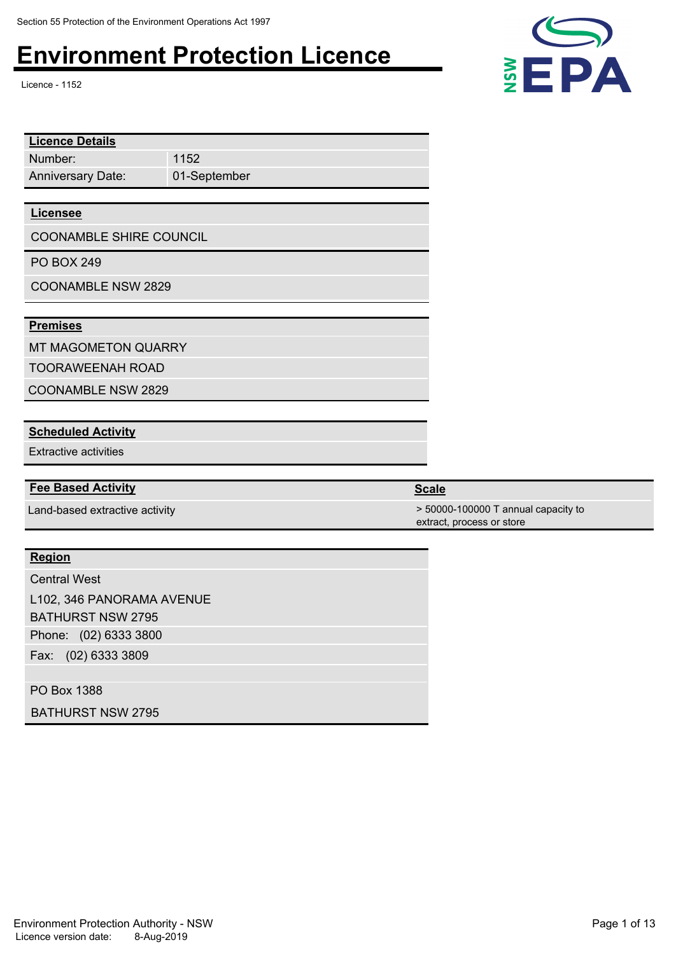Licence - 1152

| <b>Licence Details</b>         |              |  |
|--------------------------------|--------------|--|
| Number:                        | 1152         |  |
| <b>Anniversary Date:</b>       | 01-September |  |
|                                |              |  |
| <b>Licensee</b>                |              |  |
| <b>COONAMBLE SHIRE COUNCIL</b> |              |  |
| <b>PO BOX 249</b>              |              |  |
| <b>COONAMBLE NSW 2829</b>      |              |  |
|                                |              |  |

### **Premises**

MT MAGOMETON QUARRY

TOORAWEENAH ROAD

COONAMBLE NSW 2829

### **Scheduled Activity**

Extractive activities

### **Fee Based Activity Scale Scale Scale Scale**

### **Region**

Phone: (02) 6333 3800 Fax: (02) 6333 3809 Central West L102, 346 PANORAMA AVENUE BATHURST NSW 2795

PO Box 1388

BATHURST NSW 2795



Land-based extractive activity  $\sim$  50000-100000 T annual capacity to extract, process or store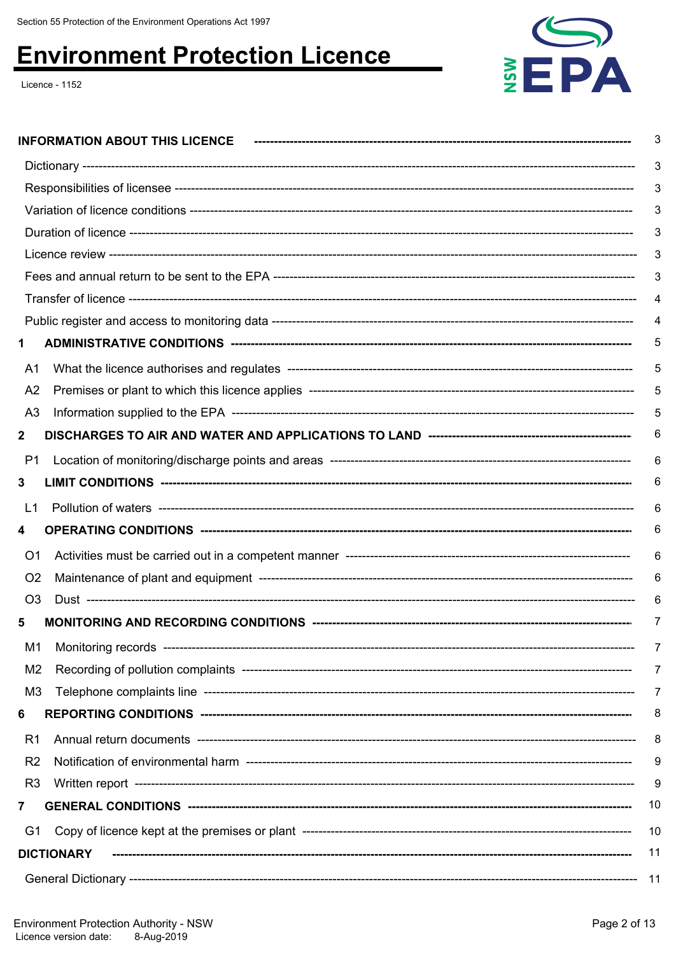Licence - 1152



|                | <b>INFORMATION ABOUT THIS LICENCE</b> | 3   |
|----------------|---------------------------------------|-----|
|                |                                       | 3   |
|                |                                       |     |
|                |                                       | 3   |
|                |                                       | 3   |
|                |                                       | 3   |
|                |                                       | 3   |
|                |                                       | 4   |
|                |                                       | 4   |
|                |                                       |     |
| A1             |                                       | 5   |
| A <sub>2</sub> |                                       | 5   |
| A3             |                                       | 5   |
| 2              |                                       | 6   |
| P <sub>1</sub> |                                       | 6   |
| 3              |                                       | 6   |
| L1             |                                       | 6   |
| 4              |                                       | 6   |
| O <sub>1</sub> |                                       | 6   |
| O <sub>2</sub> |                                       | 6   |
| O <sub>3</sub> |                                       | 6   |
| 5              |                                       | 7   |
| M <sub>1</sub> |                                       | 7   |
| M2             |                                       | 7   |
| M3             |                                       | 7   |
| 6              |                                       | 8   |
| R <sub>1</sub> |                                       | 8   |
| R <sub>2</sub> |                                       | 9   |
| R <sub>3</sub> |                                       | 9   |
| 7              |                                       | 10  |
| G1             |                                       | 10  |
|                | <b>DICTIONARY</b>                     | 11  |
|                |                                       | -11 |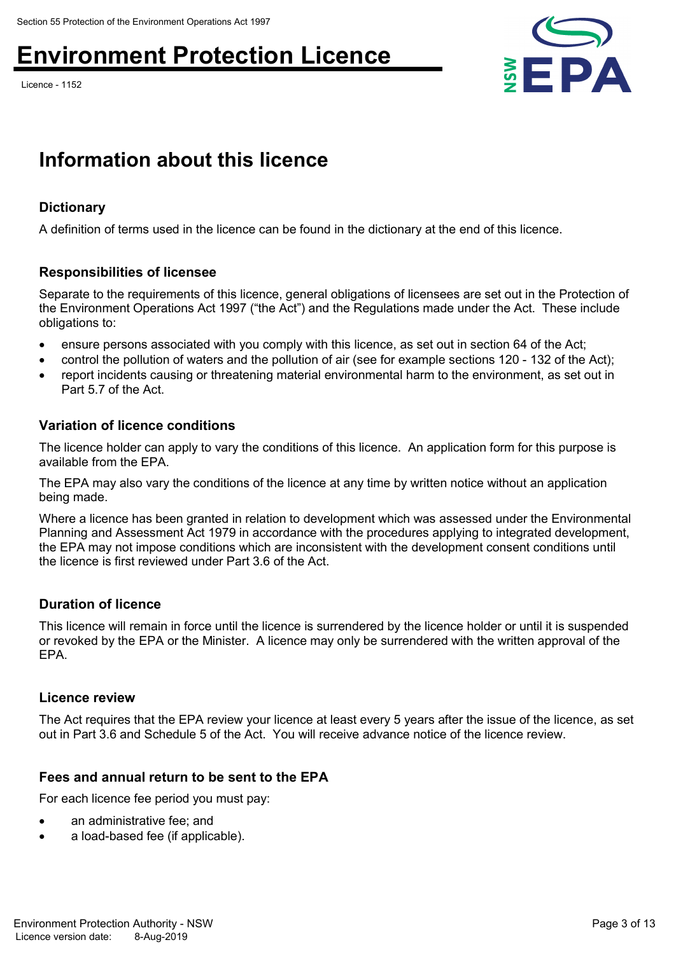Licence - 1152



## **Information about this licence**

### **Dictionary**

A definition of terms used in the licence can be found in the dictionary at the end of this licence.

### **Responsibilities of licensee**

Separate to the requirements of this licence, general obligations of licensees are set out in the Protection of the Environment Operations Act 1997 ("the Act") and the Regulations made under the Act. These include obligations to:

- ensure persons associated with you comply with this licence, as set out in section 64 of the Act;
- control the pollution of waters and the pollution of air (see for example sections 120 132 of the Act);
- report incidents causing or threatening material environmental harm to the environment, as set out in Part 5.7 of the Act.

### **Variation of licence conditions**

The licence holder can apply to vary the conditions of this licence. An application form for this purpose is available from the EPA.

The EPA may also vary the conditions of the licence at any time by written notice without an application being made.

Where a licence has been granted in relation to development which was assessed under the Environmental Planning and Assessment Act 1979 in accordance with the procedures applying to integrated development, the EPA may not impose conditions which are inconsistent with the development consent conditions until the licence is first reviewed under Part 3.6 of the Act.

### **Duration of licence**

This licence will remain in force until the licence is surrendered by the licence holder or until it is suspended or revoked by the EPA or the Minister. A licence may only be surrendered with the written approval of the EPA.

#### **Licence review**

The Act requires that the EPA review your licence at least every 5 years after the issue of the licence, as set out in Part 3.6 and Schedule 5 of the Act. You will receive advance notice of the licence review.

### **Fees and annual return to be sent to the EPA**

For each licence fee period you must pay:

- an administrative fee; and
- a load-based fee (if applicable).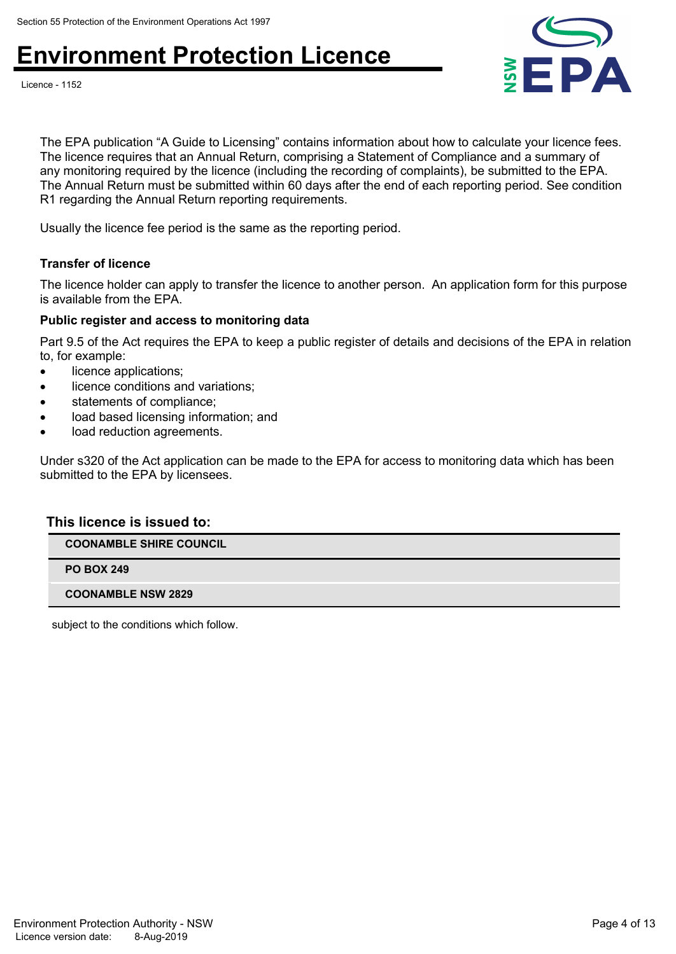



The EPA publication "A Guide to Licensing" contains information about how to calculate your licence fees. The licence requires that an Annual Return, comprising a Statement of Compliance and a summary of any monitoring required by the licence (including the recording of complaints), be submitted to the EPA. The Annual Return must be submitted within 60 days after the end of each reporting period. See condition R1 regarding the Annual Return reporting requirements.

Usually the licence fee period is the same as the reporting period.

#### **Transfer of licence**

The licence holder can apply to transfer the licence to another person. An application form for this purpose is available from the EPA.

#### **Public register and access to monitoring data**

Part 9.5 of the Act requires the EPA to keep a public register of details and decisions of the EPA in relation to, for example:

- licence applications;
- licence conditions and variations;
- statements of compliance;
- load based licensing information; and
- load reduction agreements.

Under s320 of the Act application can be made to the EPA for access to monitoring data which has been submitted to the EPA by licensees.

#### **This licence is issued to:**

**COONAMBLE SHIRE COUNCIL**

**PO BOX 249**

**COONAMBLE NSW 2829**

subject to the conditions which follow.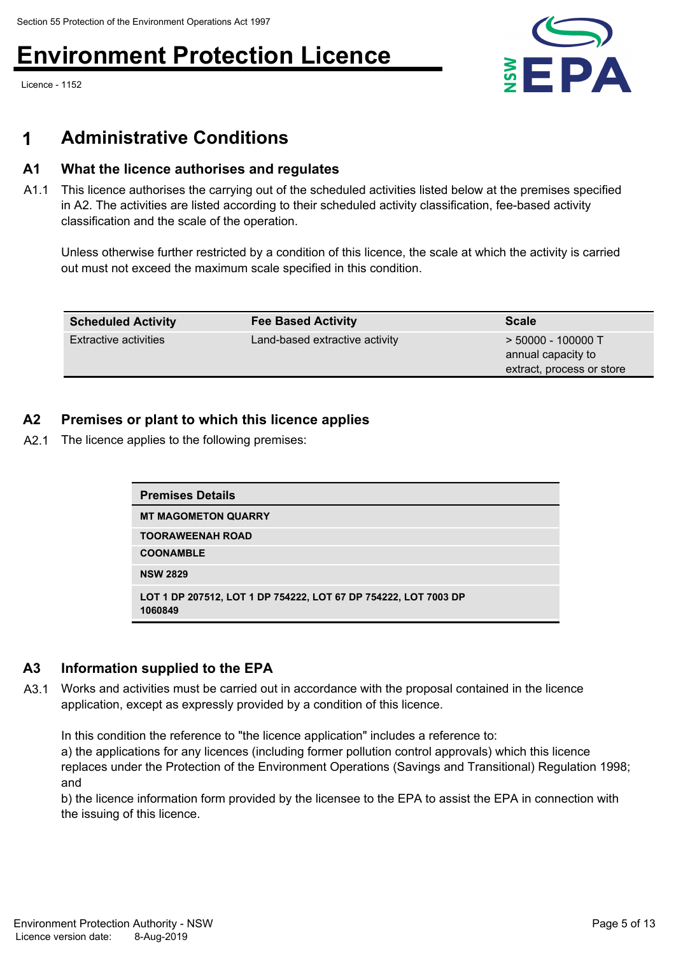Licence - 1152



### **1 Administrative Conditions**

### **A1 What the licence authorises and regulates**

A1.1 This licence authorises the carrying out of the scheduled activities listed below at the premises specified in A2. The activities are listed according to their scheduled activity classification, fee-based activity classification and the scale of the operation.

Unless otherwise further restricted by a condition of this licence, the scale at which the activity is carried out must not exceed the maximum scale specified in this condition.

| <b>Scheduled Activity</b>    | <b>Fee Based Activity</b>      | <b>Scale</b>                                                            |
|------------------------------|--------------------------------|-------------------------------------------------------------------------|
| <b>Extractive activities</b> | Land-based extractive activity | $>$ 50000 - 100000 T<br>annual capacity to<br>extract, process or store |

### **A2 Premises or plant to which this licence applies**

A2.1 The licence applies to the following premises:

| <b>Premises Details</b>                                                    |  |
|----------------------------------------------------------------------------|--|
| <b>MT MAGOMETON QUARRY</b>                                                 |  |
| <b>TOORAWEENAH ROAD</b>                                                    |  |
| <b>COONAMBLE</b>                                                           |  |
| <b>NSW 2829</b>                                                            |  |
| LOT 1 DP 207512, LOT 1 DP 754222, LOT 67 DP 754222, LOT 7003 DP<br>1060849 |  |

### **A3 Information supplied to the EPA**

A3.1 Works and activities must be carried out in accordance with the proposal contained in the licence application, except as expressly provided by a condition of this licence.

In this condition the reference to "the licence application" includes a reference to:

a) the applications for any licences (including former pollution control approvals) which this licence replaces under the Protection of the Environment Operations (Savings and Transitional) Regulation 1998; and

b) the licence information form provided by the licensee to the EPA to assist the EPA in connection with the issuing of this licence.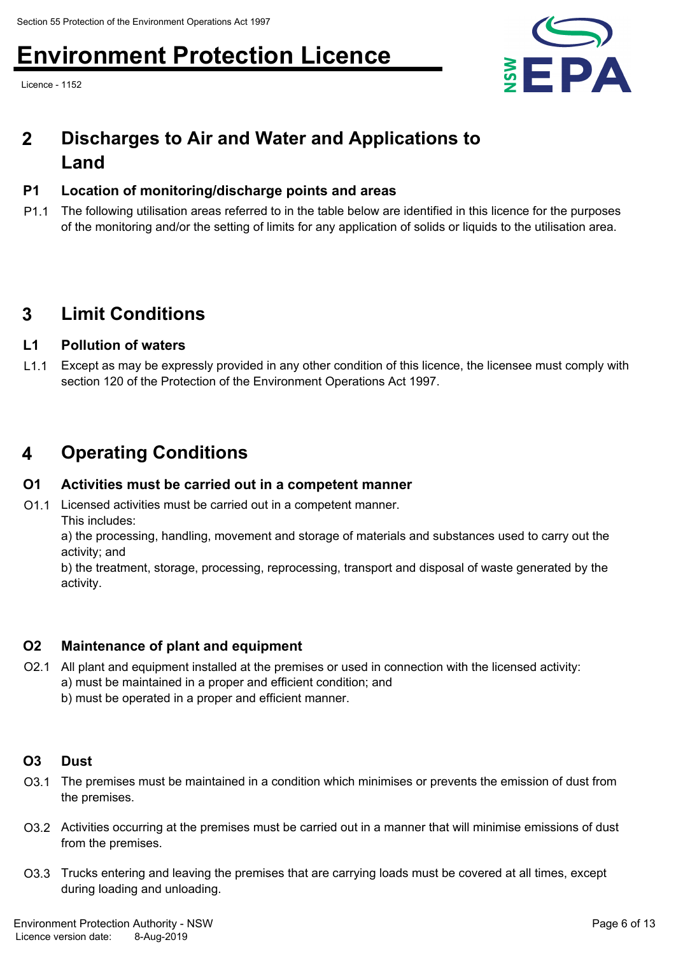Licence - 1152



### **Discharges to Air and Water and Applications to Land 2**

### **P1 Location of monitoring/discharge points and areas**

P1.1 The following utilisation areas referred to in the table below are identified in this licence for the purposes of the monitoring and/or the setting of limits for any application of solids or liquids to the utilisation area.

### **3 Limit Conditions**

### **L1 Pollution of waters**

L1.1 Except as may be expressly provided in any other condition of this licence, the licensee must comply with section 120 of the Protection of the Environment Operations Act 1997.

### **4 Operating Conditions**

### **O1 Activities must be carried out in a competent manner**

O1.1 Licensed activities must be carried out in a competent manner. This includes:

a) the processing, handling, movement and storage of materials and substances used to carry out the activity; and

b) the treatment, storage, processing, reprocessing, transport and disposal of waste generated by the activity.

### **O2 Maintenance of plant and equipment**

- O2.1 All plant and equipment installed at the premises or used in connection with the licensed activity: a) must be maintained in a proper and efficient condition; and
	- b) must be operated in a proper and efficient manner.

### **O3 Dust**

- O3.1 The premises must be maintained in a condition which minimises or prevents the emission of dust from the premises.
- O3.2 Activities occurring at the premises must be carried out in a manner that will minimise emissions of dust from the premises.
- O3.3 Trucks entering and leaving the premises that are carrying loads must be covered at all times, except during loading and unloading.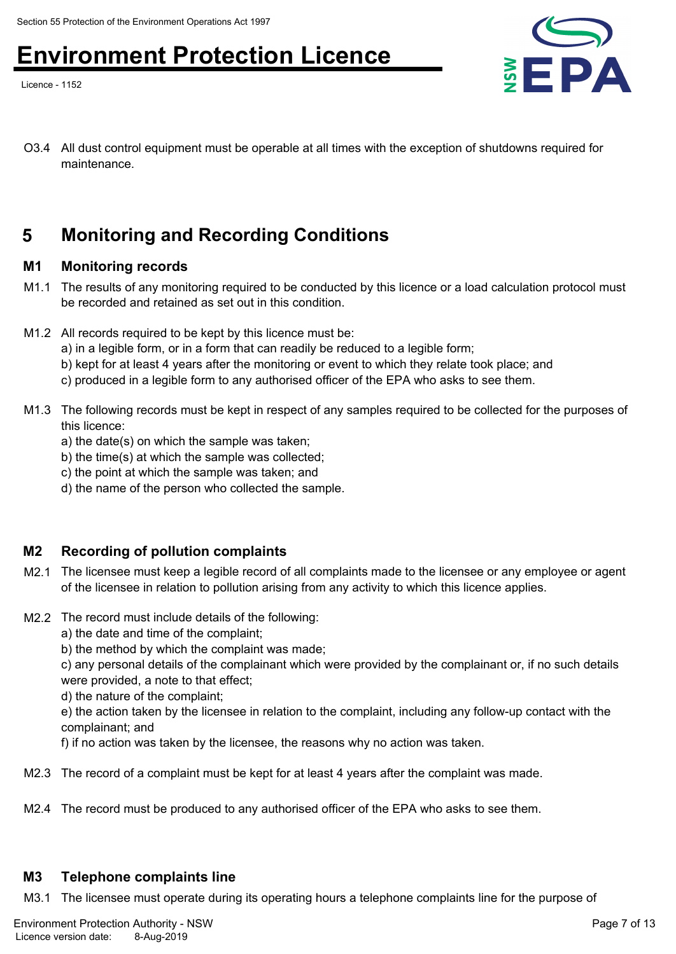Licence - 1152



O3.4 All dust control equipment must be operable at all times with the exception of shutdowns required for maintenance.

### **5 Monitoring and Recording Conditions**

### **M1 Monitoring records**

- M1.1 The results of any monitoring required to be conducted by this licence or a load calculation protocol must be recorded and retained as set out in this condition.
- M1.2 All records required to be kept by this licence must be:
	- a) in a legible form, or in a form that can readily be reduced to a legible form;
	- b) kept for at least 4 years after the monitoring or event to which they relate took place; and
	- c) produced in a legible form to any authorised officer of the EPA who asks to see them.
- M1.3 The following records must be kept in respect of any samples required to be collected for the purposes of this licence:
	- a) the date(s) on which the sample was taken;
	- b) the time(s) at which the sample was collected;
	- c) the point at which the sample was taken; and
	- d) the name of the person who collected the sample.

### **M2 Recording of pollution complaints**

- M2.1 The licensee must keep a legible record of all complaints made to the licensee or any employee or agent of the licensee in relation to pollution arising from any activity to which this licence applies.
- M2.2 The record must include details of the following:
	- a) the date and time of the complaint;
	- b) the method by which the complaint was made;

c) any personal details of the complainant which were provided by the complainant or, if no such details were provided, a note to that effect;

d) the nature of the complaint;

e) the action taken by the licensee in relation to the complaint, including any follow-up contact with the complainant; and

f) if no action was taken by the licensee, the reasons why no action was taken.

- M2.3 The record of a complaint must be kept for at least 4 years after the complaint was made.
- M2.4 The record must be produced to any authorised officer of the EPA who asks to see them.

### **M3 Telephone complaints line**

M3.1 The licensee must operate during its operating hours a telephone complaints line for the purpose of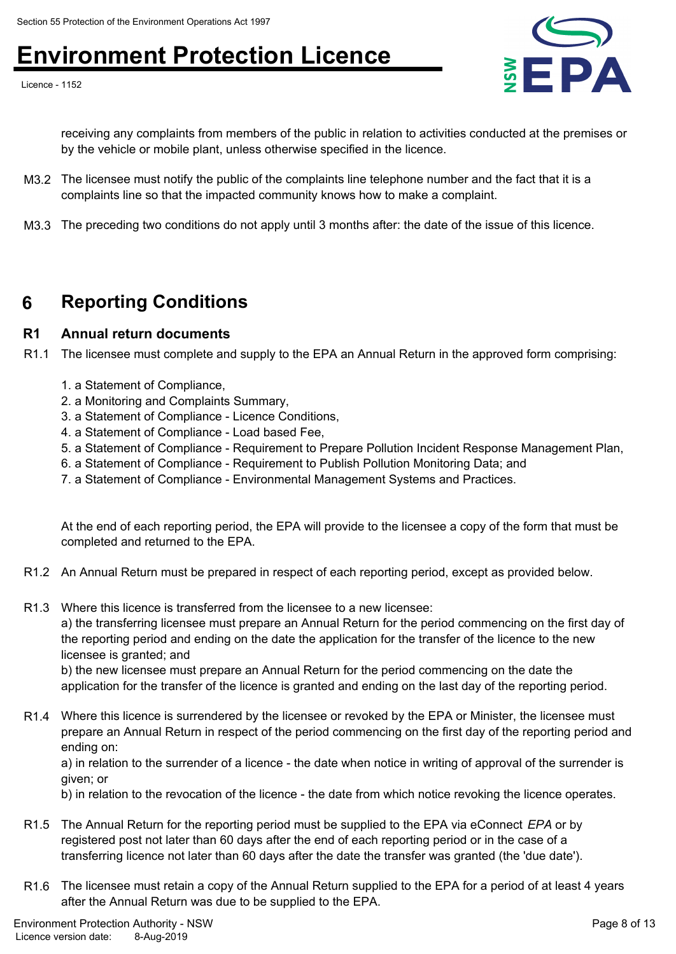Licence - 1152



receiving any complaints from members of the public in relation to activities conducted at the premises or by the vehicle or mobile plant, unless otherwise specified in the licence.

- M3.2 The licensee must notify the public of the complaints line telephone number and the fact that it is a complaints line so that the impacted community knows how to make a complaint.
- M3.3 The preceding two conditions do not apply until 3 months after: the date of the issue of this licence.

### **6 Reporting Conditions**

### **R1 Annual return documents**

R1.1 The licensee must complete and supply to the EPA an Annual Return in the approved form comprising:

- 1. a Statement of Compliance,
- 2. a Monitoring and Complaints Summary,
- 3. a Statement of Compliance Licence Conditions,
- 4. a Statement of Compliance Load based Fee,
- 5. a Statement of Compliance Requirement to Prepare Pollution Incident Response Management Plan,
- 6. a Statement of Compliance Requirement to Publish Pollution Monitoring Data; and
- 7. a Statement of Compliance Environmental Management Systems and Practices.

At the end of each reporting period, the EPA will provide to the licensee a copy of the form that must be completed and returned to the EPA.

- R1.2 An Annual Return must be prepared in respect of each reporting period, except as provided below.
- R1.3 Where this licence is transferred from the licensee to a new licensee:

a) the transferring licensee must prepare an Annual Return for the period commencing on the first day of the reporting period and ending on the date the application for the transfer of the licence to the new licensee is granted; and

b) the new licensee must prepare an Annual Return for the period commencing on the date the application for the transfer of the licence is granted and ending on the last day of the reporting period.

R1.4 Where this licence is surrendered by the licensee or revoked by the EPA or Minister, the licensee must prepare an Annual Return in respect of the period commencing on the first day of the reporting period and ending on:

a) in relation to the surrender of a licence - the date when notice in writing of approval of the surrender is given; or

b) in relation to the revocation of the licence - the date from which notice revoking the licence operates.

- R1.5 The Annual Return for the reporting period must be supplied to the EPA via eConnect *EPA* or by registered post not later than 60 days after the end of each reporting period or in the case of a transferring licence not later than 60 days after the date the transfer was granted (the 'due date').
- R1.6 The licensee must retain a copy of the Annual Return supplied to the EPA for a period of at least 4 years after the Annual Return was due to be supplied to the EPA.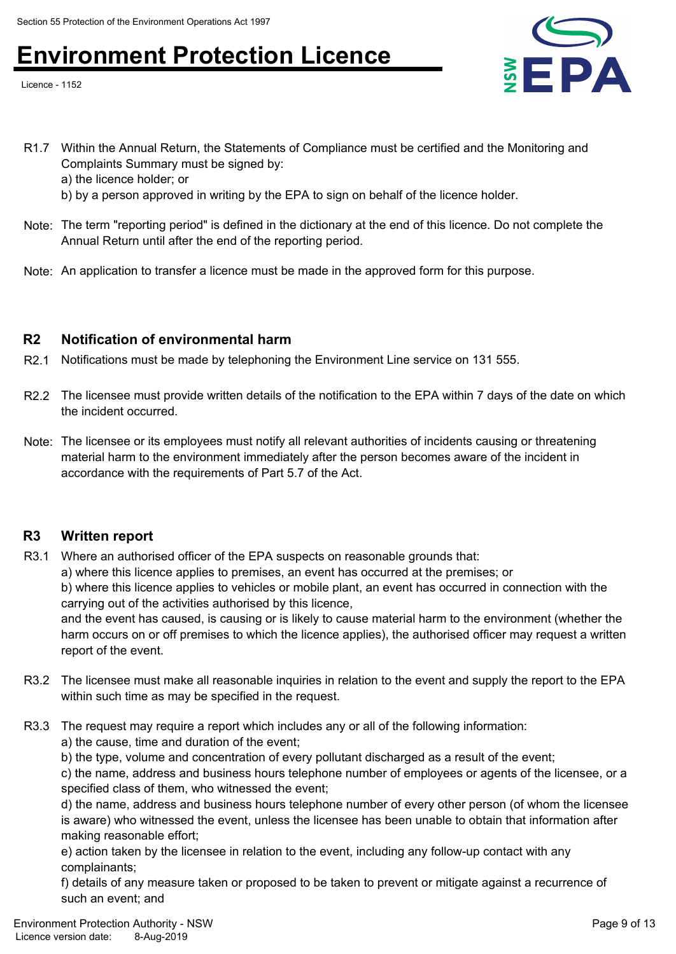Licence - 1152



- R1.7 Within the Annual Return, the Statements of Compliance must be certified and the Monitoring and Complaints Summary must be signed by:
	- a) the licence holder; or
	- b) by a person approved in writing by the EPA to sign on behalf of the licence holder.
- Note: The term "reporting period" is defined in the dictionary at the end of this licence. Do not complete the Annual Return until after the end of the reporting period.
- Note: An application to transfer a licence must be made in the approved form for this purpose.

### **R2 Notification of environmental harm**

- R2.1 Notifications must be made by telephoning the Environment Line service on 131 555.
- R2.2 The licensee must provide written details of the notification to the EPA within 7 days of the date on which the incident occurred.
- Note: The licensee or its employees must notify all relevant authorities of incidents causing or threatening material harm to the environment immediately after the person becomes aware of the incident in accordance with the requirements of Part 5.7 of the Act.

### **R3 Written report**

- R3.1 Where an authorised officer of the EPA suspects on reasonable grounds that:
	- a) where this licence applies to premises, an event has occurred at the premises; or

b) where this licence applies to vehicles or mobile plant, an event has occurred in connection with the carrying out of the activities authorised by this licence,

and the event has caused, is causing or is likely to cause material harm to the environment (whether the harm occurs on or off premises to which the licence applies), the authorised officer may request a written report of the event.

- R3.2 The licensee must make all reasonable inquiries in relation to the event and supply the report to the EPA within such time as may be specified in the request.
- R3.3 The request may require a report which includes any or all of the following information:
	- a) the cause, time and duration of the event;
	- b) the type, volume and concentration of every pollutant discharged as a result of the event;

c) the name, address and business hours telephone number of employees or agents of the licensee, or a specified class of them, who witnessed the event;

d) the name, address and business hours telephone number of every other person (of whom the licensee is aware) who witnessed the event, unless the licensee has been unable to obtain that information after making reasonable effort;

e) action taken by the licensee in relation to the event, including any follow-up contact with any complainants;

f) details of any measure taken or proposed to be taken to prevent or mitigate against a recurrence of such an event; and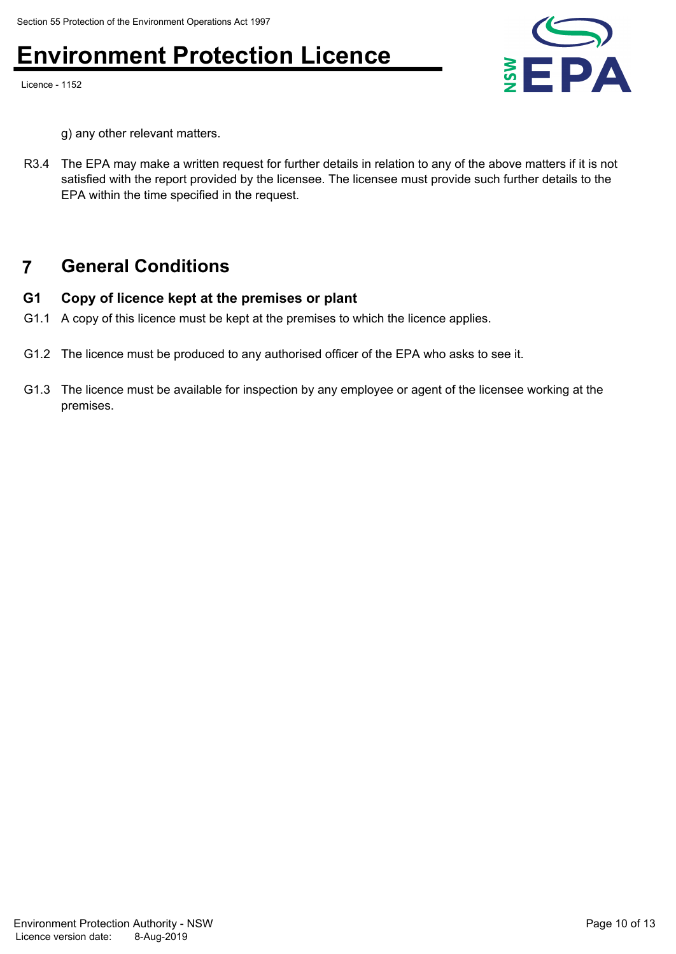Licence - 1152



g) any other relevant matters.

R3.4 The EPA may make a written request for further details in relation to any of the above matters if it is not satisfied with the report provided by the licensee. The licensee must provide such further details to the EPA within the time specified in the request.

### **7 General Conditions**

### **G1 Copy of licence kept at the premises or plant**

- G1.1 A copy of this licence must be kept at the premises to which the licence applies.
- G1.2 The licence must be produced to any authorised officer of the EPA who asks to see it.
- G1.3 The licence must be available for inspection by any employee or agent of the licensee working at the premises.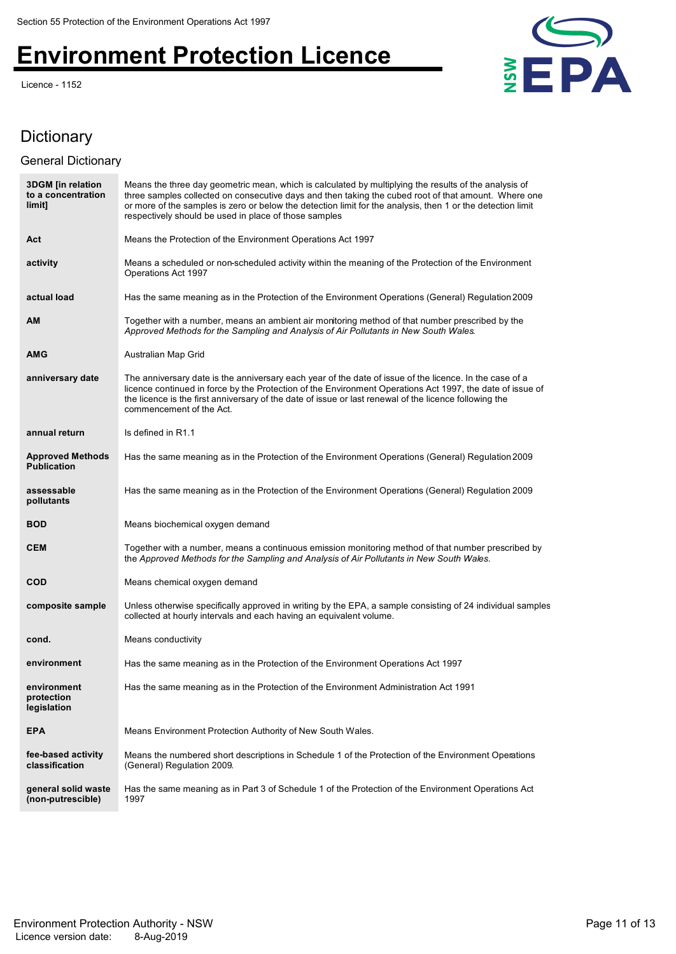Licence - 1152



### Dictionary

### General Dictionary

| <b>3DGM</b> [in relation<br>to a concentration<br>limit] | Means the three day geometric mean, which is calculated by multiplying the results of the analysis of<br>three samples collected on consecutive days and then taking the cubed root of that amount. Where one<br>or more of the samples is zero or below the detection limit for the analysis, then 1 or the detection limit<br>respectively should be used in place of those samples |
|----------------------------------------------------------|---------------------------------------------------------------------------------------------------------------------------------------------------------------------------------------------------------------------------------------------------------------------------------------------------------------------------------------------------------------------------------------|
| Act                                                      | Means the Protection of the Environment Operations Act 1997                                                                                                                                                                                                                                                                                                                           |
| activity                                                 | Means a scheduled or non-scheduled activity within the meaning of the Protection of the Environment<br>Operations Act 1997                                                                                                                                                                                                                                                            |
| actual load                                              | Has the same meaning as in the Protection of the Environment Operations (General) Regulation 2009                                                                                                                                                                                                                                                                                     |
| <b>AM</b>                                                | Together with a number, means an ambient air monitoring method of that number prescribed by the<br>Approved Methods for the Sampling and Analysis of Air Pollutants in New South Wales.                                                                                                                                                                                               |
| <b>AMG</b>                                               | Australian Map Grid                                                                                                                                                                                                                                                                                                                                                                   |
| anniversary date                                         | The anniversary date is the anniversary each year of the date of issue of the licence. In the case of a<br>licence continued in force by the Protection of the Environment Operations Act 1997, the date of issue of<br>the licence is the first anniversary of the date of issue or last renewal of the licence following the<br>commencement of the Act.                            |
| annual return                                            | Is defined in R1.1                                                                                                                                                                                                                                                                                                                                                                    |
| <b>Approved Methods</b><br><b>Publication</b>            | Has the same meaning as in the Protection of the Environment Operations (General) Regulation 2009                                                                                                                                                                                                                                                                                     |
| assessable<br>pollutants                                 | Has the same meaning as in the Protection of the Environment Operations (General) Regulation 2009                                                                                                                                                                                                                                                                                     |
| <b>BOD</b>                                               | Means biochemical oxygen demand                                                                                                                                                                                                                                                                                                                                                       |
| <b>CEM</b>                                               | Together with a number, means a continuous emission monitoring method of that number prescribed by<br>the Approved Methods for the Sampling and Analysis of Air Pollutants in New South Wales.                                                                                                                                                                                        |
| <b>COD</b>                                               | Means chemical oxygen demand                                                                                                                                                                                                                                                                                                                                                          |
| composite sample                                         | Unless otherwise specifically approved in writing by the EPA, a sample consisting of 24 individual samples<br>collected at hourly intervals and each having an equivalent volume.                                                                                                                                                                                                     |
| cond.                                                    | Means conductivity                                                                                                                                                                                                                                                                                                                                                                    |
| environment                                              | Has the same meaning as in the Protection of the Environment Operations Act 1997                                                                                                                                                                                                                                                                                                      |
| environment<br>protection<br>legislation                 | Has the same meaning as in the Protection of the Environment Administration Act 1991                                                                                                                                                                                                                                                                                                  |
| <b>EPA</b>                                               | Means Environment Protection Authority of New South Wales.                                                                                                                                                                                                                                                                                                                            |
| fee-based activity<br>classification                     | Means the numbered short descriptions in Schedule 1 of the Protection of the Environment Operations<br>(General) Regulation 2009.                                                                                                                                                                                                                                                     |
| general solid waste<br>(non-putrescible)                 | Has the same meaning as in Part 3 of Schedule 1 of the Protection of the Environment Operations Act<br>1997                                                                                                                                                                                                                                                                           |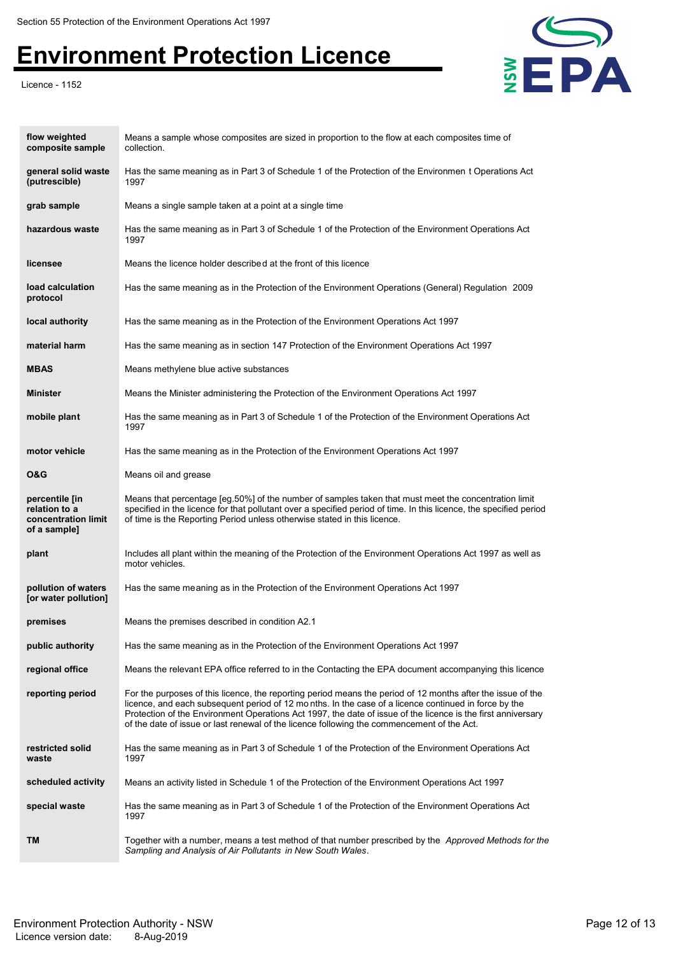Licence - 1152



| flow weighted<br>composite sample                                      | Means a sample whose composites are sized in proportion to the flow at each composites time of<br>collection.                                                                                                                                                                                                                                                                                                                     |
|------------------------------------------------------------------------|-----------------------------------------------------------------------------------------------------------------------------------------------------------------------------------------------------------------------------------------------------------------------------------------------------------------------------------------------------------------------------------------------------------------------------------|
| general solid waste<br>(putrescible)                                   | Has the same meaning as in Part 3 of Schedule 1 of the Protection of the Environmen t Operations Act<br>1997                                                                                                                                                                                                                                                                                                                      |
| grab sample                                                            | Means a single sample taken at a point at a single time                                                                                                                                                                                                                                                                                                                                                                           |
| hazardous waste                                                        | Has the same meaning as in Part 3 of Schedule 1 of the Protection of the Environment Operations Act<br>1997                                                                                                                                                                                                                                                                                                                       |
| licensee                                                               | Means the licence holder described at the front of this licence                                                                                                                                                                                                                                                                                                                                                                   |
| load calculation<br>protocol                                           | Has the same meaning as in the Protection of the Environment Operations (General) Regulation 2009                                                                                                                                                                                                                                                                                                                                 |
| local authority                                                        | Has the same meaning as in the Protection of the Environment Operations Act 1997                                                                                                                                                                                                                                                                                                                                                  |
| material harm                                                          | Has the same meaning as in section 147 Protection of the Environment Operations Act 1997                                                                                                                                                                                                                                                                                                                                          |
| <b>MBAS</b>                                                            | Means methylene blue active substances                                                                                                                                                                                                                                                                                                                                                                                            |
| <b>Minister</b>                                                        | Means the Minister administering the Protection of the Environment Operations Act 1997                                                                                                                                                                                                                                                                                                                                            |
| mobile plant                                                           | Has the same meaning as in Part 3 of Schedule 1 of the Protection of the Environment Operations Act<br>1997                                                                                                                                                                                                                                                                                                                       |
| motor vehicle                                                          | Has the same meaning as in the Protection of the Environment Operations Act 1997                                                                                                                                                                                                                                                                                                                                                  |
| <b>O&amp;G</b>                                                         | Means oil and grease                                                                                                                                                                                                                                                                                                                                                                                                              |
| percentile [in<br>relation to a<br>concentration limit<br>of a sample] | Means that percentage [eg.50%] of the number of samples taken that must meet the concentration limit<br>specified in the licence for that pollutant over a specified period of time. In this licence, the specified period<br>of time is the Reporting Period unless otherwise stated in this licence.                                                                                                                            |
| plant                                                                  | Includes all plant within the meaning of the Protection of the Environment Operations Act 1997 as well as<br>motor vehicles.                                                                                                                                                                                                                                                                                                      |
| pollution of waters<br>[or water pollution]                            | Has the same meaning as in the Protection of the Environment Operations Act 1997                                                                                                                                                                                                                                                                                                                                                  |
| premises                                                               | Means the premises described in condition A2.1                                                                                                                                                                                                                                                                                                                                                                                    |
| public authority                                                       | Has the same meaning as in the Protection of the Environment Operations Act 1997                                                                                                                                                                                                                                                                                                                                                  |
| regional office                                                        | Means the relevant EPA office referred to in the Contacting the EPA document accompanying this licence                                                                                                                                                                                                                                                                                                                            |
| reporting period                                                       | For the purposes of this licence, the reporting period means the period of 12 months after the issue of the<br>licence, and each subsequent period of 12 months. In the case of a licence continued in force by the<br>Protection of the Environment Operations Act 1997, the date of issue of the licence is the first anniversary<br>of the date of issue or last renewal of the licence following the commencement of the Act. |
| restricted solid<br>waste                                              | Has the same meaning as in Part 3 of Schedule 1 of the Protection of the Environment Operations Act<br>1997                                                                                                                                                                                                                                                                                                                       |
| scheduled activity                                                     | Means an activity listed in Schedule 1 of the Protection of the Environment Operations Act 1997                                                                                                                                                                                                                                                                                                                                   |
| special waste                                                          | Has the same meaning as in Part 3 of Schedule 1 of the Protection of the Environment Operations Act<br>1997                                                                                                                                                                                                                                                                                                                       |
| TM                                                                     | Together with a number, means a test method of that number prescribed by the <i>Approved Methods for the</i><br>Sampling and Analysis of Air Pollutants in New South Wales.                                                                                                                                                                                                                                                       |